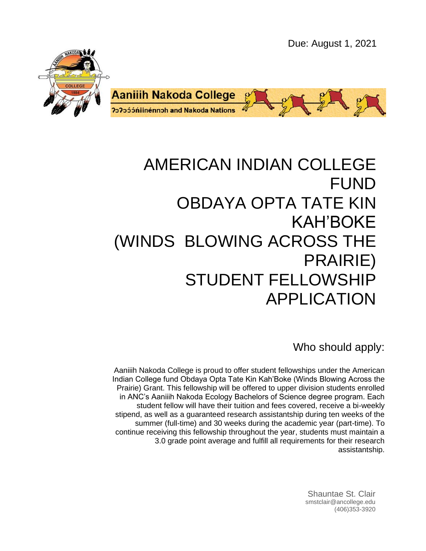Due: August 1, 2021





# AMERICAN INDIAN COLLEGE FUND OBDAYA OPTA TATE KIN KAH'BOKE (WINDS BLOWING ACROSS THE PRAIRIE) STUDENT FELLOWSHIP APPLICATION

Who should apply:

Aaniiih Nakoda College is proud to offer student fellowships under the American Indian College fund Obdaya Opta Tate Kin Kah'Boke (Winds Blowing Across the Prairie) Grant. This fellowship will be offered to upper division students enrolled in ANC's Aaniiih Nakoda Ecology Bachelors of Science degree program. Each student fellow will have their tuition and fees covered, receive a bi-weekly stipend, as well as a guaranteed research assistantship during ten weeks of the summer (full-time) and 30 weeks during the academic year (part-time). To continue receiving this fellowship throughout the year, students must maintain a 3.0 grade point average and fulfill all requirements for their research assistantship.

> Shauntae St. Clair smstclair@ancollege.edu (406)353-3920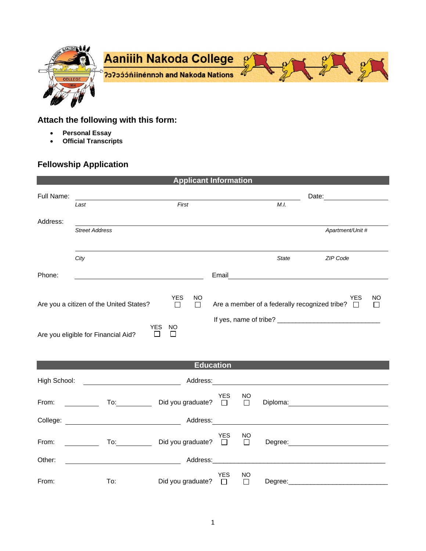

## **Attach the following with this form:**

- **Personal Essay**
- **Official Transcripts**

## **Fellowship Application**

| <b>Applicant Information</b>                                                                                                                                                                                                                                                  |                                                                                                                                                                                                                                |                          |                      |                                      |                                                                                                                       |                                                                                                                                                                                                                                |  |  |
|-------------------------------------------------------------------------------------------------------------------------------------------------------------------------------------------------------------------------------------------------------------------------------|--------------------------------------------------------------------------------------------------------------------------------------------------------------------------------------------------------------------------------|--------------------------|----------------------|--------------------------------------|-----------------------------------------------------------------------------------------------------------------------|--------------------------------------------------------------------------------------------------------------------------------------------------------------------------------------------------------------------------------|--|--|
| Full Name:                                                                                                                                                                                                                                                                    | First<br>Last                                                                                                                                                                                                                  |                          |                      | Date: <u>_______________</u><br>M.I. |                                                                                                                       |                                                                                                                                                                                                                                |  |  |
| Address:                                                                                                                                                                                                                                                                      | <b>Street Address</b>                                                                                                                                                                                                          |                          |                      |                                      |                                                                                                                       | Apartment/Unit #                                                                                                                                                                                                               |  |  |
|                                                                                                                                                                                                                                                                               | City                                                                                                                                                                                                                           |                          |                      |                                      | <b>State</b>                                                                                                          | ZIP Code                                                                                                                                                                                                                       |  |  |
| Phone:                                                                                                                                                                                                                                                                        |                                                                                                                                                                                                                                |                          | Email                |                                      | <u> 1989 - Jan Stern Stern Stern Stern Stern Stern Stern Stern Stern Stern Stern Stern Stern Stern Stern Stern St</u> |                                                                                                                                                                                                                                |  |  |
| <b>YES</b><br><b>NO</b><br><b>YES</b><br><b>NO</b><br>Are a member of a federally recognized tribe?<br>Are you a citizen of the United States?<br>$\Box$<br>П<br>$\Box$<br>$\mathsf{L}$<br><b>YES</b><br><b>NO</b><br>Are you eligible for Financial Aid?<br>$\Box$<br>$\Box$ |                                                                                                                                                                                                                                |                          |                      |                                      |                                                                                                                       |                                                                                                                                                                                                                                |  |  |
| <b>Education</b>                                                                                                                                                                                                                                                              |                                                                                                                                                                                                                                |                          |                      |                                      |                                                                                                                       |                                                                                                                                                                                                                                |  |  |
| High School:                                                                                                                                                                                                                                                                  |                                                                                                                                                                                                                                |                          |                      |                                      |                                                                                                                       | Address: Address:                                                                                                                                                                                                              |  |  |
| From:                                                                                                                                                                                                                                                                         | To: the contract of the contract of the contract of the contract of the contract of the contract of the contract of the contract of the contract of the contract of the contract of the contract of the contract of the contra | Did you graduate? $\Box$ | <b>YES</b>           | <b>NO</b><br>$\Box$                  |                                                                                                                       | Diploma: the contract of the contract of the contract of the contract of the contract of the contract of the contract of the contract of the contract of the contract of the contract of the contract of the contract of the c |  |  |
|                                                                                                                                                                                                                                                                               | College: Address:                                                                                                                                                                                                              |                          |                      |                                      |                                                                                                                       |                                                                                                                                                                                                                                |  |  |
| From:                                                                                                                                                                                                                                                                         | To: $\qquad \qquad \qquad \qquad$                                                                                                                                                                                              | Did you graduate? □      | <b>YES</b>           | NO<br>$\Box$                         |                                                                                                                       | Degree: the contract of the contract of the contract of the contract of the contract of the contract of the contract of the contract of the contract of the contract of the contract of the contract of the contract of the co |  |  |
| Other:                                                                                                                                                                                                                                                                        |                                                                                                                                                                                                                                | Address:______           |                      |                                      |                                                                                                                       |                                                                                                                                                                                                                                |  |  |
| From:                                                                                                                                                                                                                                                                         | To:                                                                                                                                                                                                                            | Did you graduate?        | <b>YES</b><br>$\Box$ | NO<br>□                              | Degree:                                                                                                               |                                                                                                                                                                                                                                |  |  |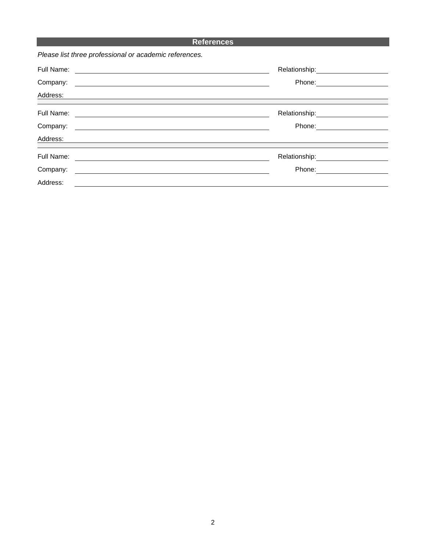### **References**

*Please list three professional or academic references.*

| Full Name:                                                              | Relationship: _____________ |  |
|-------------------------------------------------------------------------|-----------------------------|--|
| Company:<br><u> 1989 - Andrea Andrews, amerikansk politik (d. 1989)</u> | Phone: <u>______</u>        |  |
| Address:                                                                |                             |  |
| Full Name:                                                              |                             |  |
| Company:                                                                | Phone:                      |  |
| Address:                                                                |                             |  |
| Full Name:                                                              |                             |  |
| Company:                                                                | Phone:                      |  |
| Address:                                                                |                             |  |